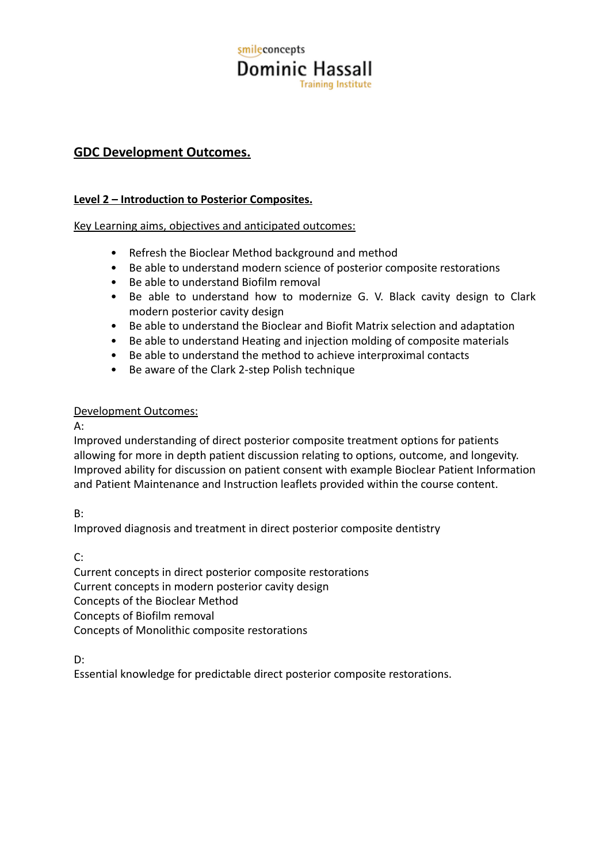# smileconcepts **Dominic Hassall Training Institute**

## **GDC Development Outcomes.**

### **Level 2 – Introduction to Posterior Composites.**

Key Learning aims, objectives and anticipated outcomes:

- Refresh the Bioclear Method background and method
- Be able to understand modern science of posterior composite restorations
- Be able to understand Biofilm removal
- Be able to understand how to modernize G. V. Black cavity design to Clark modern posterior cavity design
- Be able to understand the Bioclear and Biofit Matrix selection and adaptation
- Be able to understand Heating and injection molding of composite materials
- Be able to understand the method to achieve interproximal contacts
- Be aware of the Clark 2-step Polish technique

### Development Outcomes:

A:

Improved understanding of direct posterior composite treatment options for patients allowing for more in depth patient discussion relating to options, outcome, and longevity. Improved ability for discussion on patient consent with example Bioclear Patient Information and Patient Maintenance and Instruction leaflets provided within the course content.

B:

Improved diagnosis and treatment in direct posterior composite dentistry

C:

Current concepts in direct posterior composite restorations Current concepts in modern posterior cavity design Concepts of the Bioclear Method Concepts of Biofilm removal Concepts of Monolithic composite restorations

D:

Essential knowledge for predictable direct posterior composite restorations.